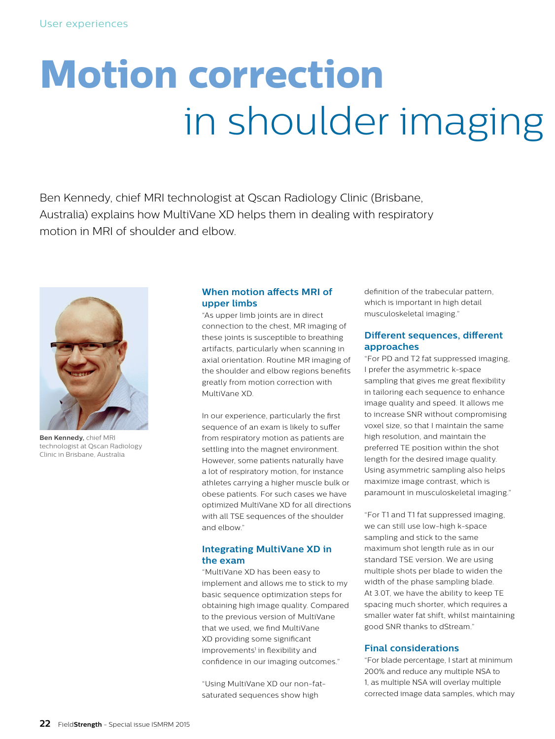# **Motion correction** in shoulder imaging

Ben Kennedy, chief MRI technologist at Qscan Radiology Clinic (Brisbane, Australia) explains how MultiVane XD helps them in dealing with respiratory motion in MRI of shoulder and elbow.



**Ben Kennedy,** chief MRI technologist at Qscan Radiology Clinic in Brisbane, Australia

#### **When motion affects MRI of upper limbs**

"As upper limb joints are in direct connection to the chest, MR imaging of these joints is susceptible to breathing artifacts, particularly when scanning in axial orientation. Routine MR imaging of the shoulder and elbow regions benefits greatly from motion correction with MultiVane XD.

In our experience, particularly the first sequence of an exam is likely to suffer from respiratory motion as patients are settling into the magnet environment. However, some patients naturally have a lot of respiratory motion, for instance athletes carrying a higher muscle bulk or obese patients. For such cases we have optimized MultiVane XD for all directions with all TSE sequences of the shoulder and elbow."

#### **Integrating MultiVane XD in the exam**

"MultiVane XD has been easy to implement and allows me to stick to my basic sequence optimization steps for obtaining high image quality. Compared to the previous version of MultiVane that we used, we find MultiVane XD providing some significant improvements<sup>1</sup> in flexibility and confidence in our imaging outcomes."

"Using MultiVane XD our non-fatsaturated sequences show high

definition of the trabecular pattern, which is important in high detail musculoskeletal imaging."

#### **Different sequences, different approaches**

"For PD and T2 fat suppressed imaging, I prefer the asymmetric k-space sampling that gives me great flexibility in tailoring each sequence to enhance image quality and speed. It allows me to increase SNR without compromising voxel size, so that I maintain the same high resolution, and maintain the preferred TE position within the shot length for the desired image quality. Using asymmetric sampling also helps maximize image contrast, which is paramount in musculoskeletal imaging."

"For T1 and T1 fat suppressed imaging, we can still use low-high k-space sampling and stick to the same maximum shot length rule as in our standard TSE version. We are using multiple shots per blade to widen the width of the phase sampling blade. At 3.0T, we have the ability to keep TE spacing much shorter, which requires a smaller water fat shift, whilst maintaining good SNR thanks to dStream."

#### **Final considerations**

"For blade percentage, I start at minimum 200% and reduce any multiple NSA to 1, as multiple NSA will overlay multiple corrected image data samples, which may